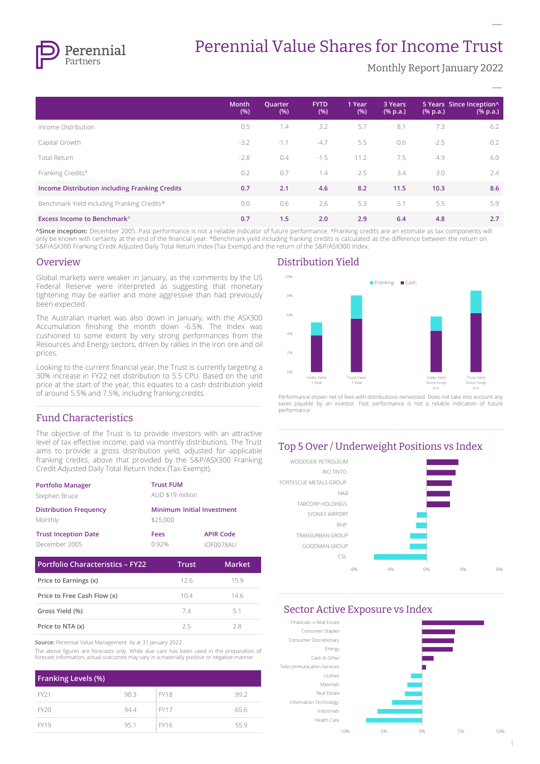

# Perennial Value Shares for Income Trust

Monthly Report January 2022

**–**

|                                                | <b>Month</b><br>(% ) | Quarter<br>(% ) | <b>FYTD</b><br>(% ) | 1 Year<br>(% ) | 3 Years<br>$(% \mathbf{a})$ (% p.a.) | $(% \mathbf{a})$ (% p.a.) | 5 Years Since Inception^<br>$(% \mathbf{a})$ (% p.a.) |
|------------------------------------------------|----------------------|-----------------|---------------------|----------------|--------------------------------------|---------------------------|-------------------------------------------------------|
| Income Distribution                            | 0.5                  | 1.4             | 3.2                 | 5.7            | 8.1                                  | 7.3                       | 6.2                                                   |
| Capital Growth                                 | $-3.2$               | $-1.1$          | $-4.7$              | 5.5            | $-0.6$                               | $-2.5$                    | $-0.2$                                                |
| Total Return                                   | $-2.8$               | 0.4             | $-1.5$              | 11.2           | 7.5                                  | 4.9                       | 6.0                                                   |
| Franking Credits#                              | 0.2                  | 0.7             | 1.4                 | 2.5            | 3.4                                  | 3.0                       | 2.4                                                   |
| Income Distribution including Franking Credits | 0.7                  | 2.1             | 4.6                 | 8.2            | 11.5                                 | 10.3                      | 8.6                                                   |
| Benchmark Yield including Franking Credits*    | 0.0                  | 0.6             | 2.6                 | 5.3            | 5.1                                  | 5.5                       | 5.9                                                   |
| <b>Excess Income to Benchmark</b> #            | 0.7                  | 1.5             | 2.0                 | 2.9            | 6.4                                  | 4.8                       | 2.7                                                   |

**^Since inception:** December 2005. Past performance is not a reliable indicator of future performance. #Franking credits are an estimate as tax components will only be known with certainty at the end of the financial year. \*Benchmark yield including franking credits is calculated as the difference between the return on S&P/ASX300 Franking Credit Adjusted Daily Total Return Index (Tax Exempt) and the return of the S&P/ASX300 Index.

#### **Overview**

Global markets were weaker in January, as the comments by the US Federal Reserve were interpreted as suggesting that monetary tightening may be earlier and more aggressive than had previously been expected.

The Australian market was also down in January, with the ASX300 Accumulation finishing the month down -6.5%. The Index was cushioned to some extent by very strong performances from the Resources and Energy sectors, driven by rallies in the iron ore and oil prices.

Looking to the current financial year, the Trust is currently targeting a 30% increase in FY22 net distribution to 5.5 CPU. Based on the unit price at the start of the year, this equates to a cash distribution yield of around 5.5% and 7.5%, including franking credits.

#### Fund Characteristics

The objective of the Trust is to provide investors with an attractive level of tax effective income, paid via monthly distributions. The Trust aims to provide a gross distribution yield, adjusted for applicable franking credits, above that provided by the S&P/ASX300 Franking Credit Adjusted Daily Total Return Index (Tax-Exempt).

| <b>Portfolio Manager</b>                     | <b>Trust FUM</b>                       |                               |
|----------------------------------------------|----------------------------------------|-------------------------------|
| Stephen Bruce                                | AUD \$19 million                       |                               |
| <b>Distribution Frequency</b><br>Monthly     | Minimum Initial Investment<br>\$25,000 |                               |
| <b>Trust Inception Date</b><br>December 2005 | Fees<br>092%                           | <b>APIR Code</b><br>IOF0078AU |
|                                              |                                        |                               |

| Portfolio Characteristics - FY22 | Trust | <b>Market</b> |
|----------------------------------|-------|---------------|
| Price to Earnings (x)            | 126   | 159           |
| Price to Free Cash Flow (x)      | 104   | 146           |
| Gross Yield (%)                  | 74    | 51            |
| Price to NTA (x)                 | つち    | つ8            |

**Source:** Perennial Value Management. As at 31 January 2022

The above figures are forecasts only. While due care has been used in the preparation of forecast information, actual outcomes may vary in a materially positive or negative manner.

| <b>Franking Levels (%)</b> |      |             |      |
|----------------------------|------|-------------|------|
| FY21                       | 90.3 | <b>FY18</b> | 99.2 |
| FY20                       | 94.4 | <b>FY17</b> | 65.6 |
| <b>FY19</b>                | 95.1 | FY16        | 55.9 |

#### Distribution Yield



Performance shown net of fees with distributions reinvested. Does not take into account any taxes payable by an investor. Past performance is not a reliable indication of future performance.

#### Top 5 Over / Underweight Positions vs Index WOODSIDE PETROLEUM RIO TINTO FORTESCUE METALS GROUP NAB TABCORP HOLDINGS SYDNEY AIRPORT BHP TRANSURBAN GROUP GOODMAN GROUP  $CST$

-8% -4% 0% 4% 8%

Sector Active Exposure vs Index